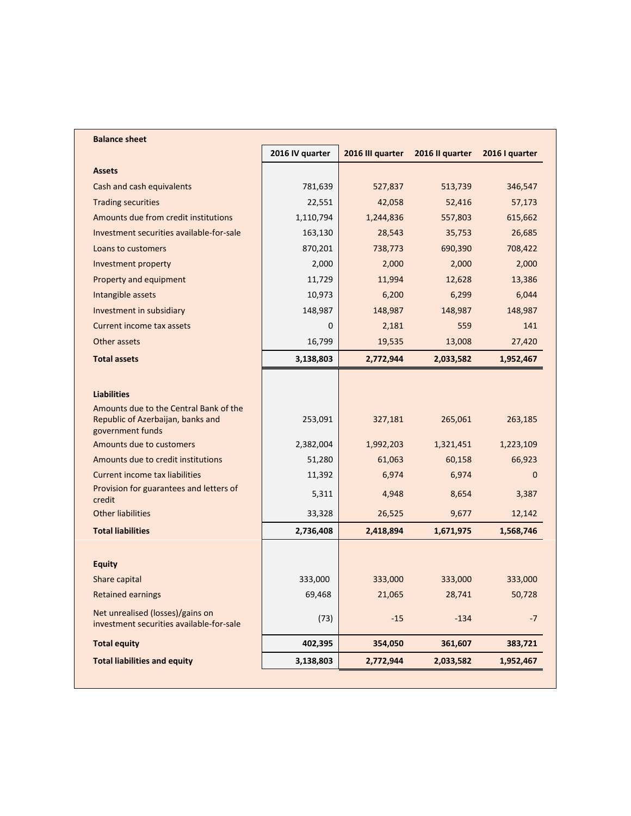| <b>Balance sheet</b>                                                         |                 |                  |                 |                |  |  |
|------------------------------------------------------------------------------|-----------------|------------------|-----------------|----------------|--|--|
|                                                                              | 2016 IV quarter | 2016 III quarter | 2016 II quarter | 2016 I quarter |  |  |
| <b>Assets</b>                                                                |                 |                  |                 |                |  |  |
| Cash and cash equivalents                                                    | 781,639         | 527,837          | 513,739         | 346,547        |  |  |
| <b>Trading securities</b>                                                    | 22,551          | 42,058           | 52,416          | 57,173         |  |  |
| Amounts due from credit institutions                                         | 1,110,794       | 1,244,836        | 557,803         | 615,662        |  |  |
| Investment securities available-for-sale                                     | 163,130         | 28,543           | 35,753          | 26,685         |  |  |
| Loans to customers                                                           | 870,201         | 738,773          | 690,390         | 708,422        |  |  |
| Investment property                                                          | 2,000           | 2,000            | 2,000           | 2,000          |  |  |
| Property and equipment                                                       | 11,729          | 11,994           | 12,628          | 13,386         |  |  |
| Intangible assets                                                            | 10,973          | 6,200            | 6,299           | 6,044          |  |  |
| Investment in subsidiary                                                     | 148,987         | 148,987          | 148,987         | 148,987        |  |  |
| Current income tax assets                                                    | $\mathbf{0}$    | 2,181            | 559             | 141            |  |  |
| Other assets                                                                 | 16,799          | 19,535           | 13,008          | 27,420         |  |  |
| <b>Total assets</b>                                                          | 3,138,803       | 2,772,944        | 2,033,582       | 1,952,467      |  |  |
|                                                                              |                 |                  |                 |                |  |  |
| <b>Liabilities</b>                                                           |                 |                  |                 |                |  |  |
| Amounts due to the Central Bank of the                                       |                 |                  |                 |                |  |  |
| Republic of Azerbaijan, banks and<br>government funds                        | 253,091         | 327,181          | 265,061         | 263,185        |  |  |
| Amounts due to customers                                                     | 2,382,004       | 1,992,203        | 1,321,451       | 1,223,109      |  |  |
| Amounts due to credit institutions                                           | 51,280          | 61,063           | 60,158          | 66,923         |  |  |
| <b>Current income tax liabilities</b>                                        | 11,392          | 6,974            | 6,974           | 0              |  |  |
| Provision for guarantees and letters of                                      | 5,311           | 4,948            | 8,654           | 3,387          |  |  |
| credit                                                                       |                 |                  |                 |                |  |  |
| <b>Other liabilities</b>                                                     | 33,328          | 26,525           | 9,677           | 12,142         |  |  |
| <b>Total liabilities</b>                                                     | 2,736,408       | 2,418,894        | 1,671,975       | 1,568,746      |  |  |
|                                                                              |                 |                  |                 |                |  |  |
| <b>Equity</b>                                                                |                 |                  |                 |                |  |  |
| Share capital                                                                | 333,000         | 333,000          | 333,000         | 333,000        |  |  |
| <b>Retained earnings</b>                                                     | 69,468          | 21,065           | 28,741          | 50,728         |  |  |
| Net unrealised (losses)/gains on<br>investment securities available-for-sale | (73)            | $-15$            | $-134$          | $-7$           |  |  |
| <b>Total equity</b>                                                          | 402,395         | 354,050          | 361,607         | 383,721        |  |  |
| <b>Total liabilities and equity</b>                                          | 3,138,803       | 2,772,944        | 2,033,582       | 1,952,467      |  |  |
|                                                                              |                 |                  |                 |                |  |  |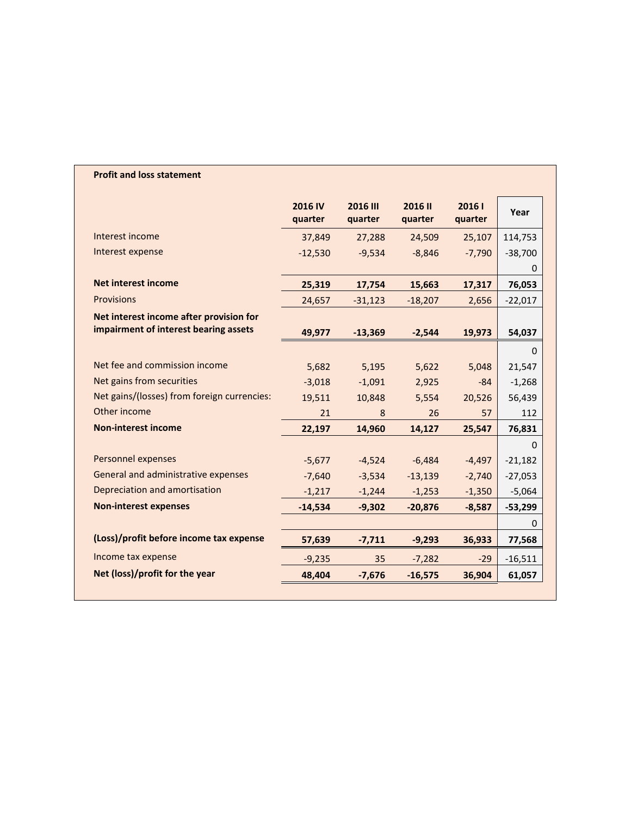## **Profit and loss statement**

|                                             | 2016 IV<br>quarter | <b>2016 III</b><br>quarter | 2016 II<br>quarter | 20161<br>quarter | Year      |
|---------------------------------------------|--------------------|----------------------------|--------------------|------------------|-----------|
| Interest income                             | 37,849             | 27,288                     | 24,509             | 25,107           | 114,753   |
| Interest expense                            | $-12,530$          | $-9,534$                   | $-8,846$           | $-7,790$         | $-38,700$ |
|                                             |                    |                            |                    |                  | 0         |
| <b>Net interest income</b>                  | 25,319             | 17,754                     | 15,663             | 17,317           | 76,053    |
| <b>Provisions</b>                           | 24,657             | $-31,123$                  | $-18,207$          | 2,656            | $-22,017$ |
| Net interest income after provision for     |                    |                            |                    |                  |           |
| impairment of interest bearing assets       | 49,977             | $-13,369$                  | $-2,544$           | 19,973           | 54,037    |
|                                             |                    |                            |                    |                  | 0         |
| Net fee and commission income               | 5,682              | 5.195                      | 5,622              | 5,048            | 21,547    |
| Net gains from securities                   | $-3,018$           | $-1,091$                   | 2,925              | $-84$            | $-1,268$  |
| Net gains/(losses) from foreign currencies: | 19,511             | 10,848                     | 5,554              | 20,526           | 56,439    |
| Other income                                | 21                 | 8                          | 26                 | 57               | 112       |
| <b>Non-interest income</b>                  | 22,197             | 14,960                     | 14,127             | 25,547           | 76,831    |
|                                             |                    |                            |                    |                  | $\Omega$  |
| <b>Personnel expenses</b>                   | $-5,677$           | $-4,524$                   | $-6.484$           | $-4,497$         | $-21,182$ |
| General and administrative expenses         | $-7,640$           | $-3,534$                   | $-13,139$          | $-2,740$         | $-27,053$ |
| Depreciation and amortisation               | $-1,217$           | $-1,244$                   | $-1,253$           | $-1,350$         | $-5,064$  |
| <b>Non-interest expenses</b>                | $-14,534$          | $-9,302$                   | $-20,876$          | $-8,587$         | $-53,299$ |
|                                             |                    |                            |                    |                  | 0         |
| (Loss)/profit before income tax expense     | 57,639             | $-7,711$                   | $-9,293$           | 36,933           | 77,568    |
| Income tax expense                          | $-9,235$           | 35                         | $-7,282$           | $-29$            | $-16,511$ |
| Net (loss)/profit for the year              | 48,404             | $-7,676$                   | $-16,575$          | 36,904           | 61,057    |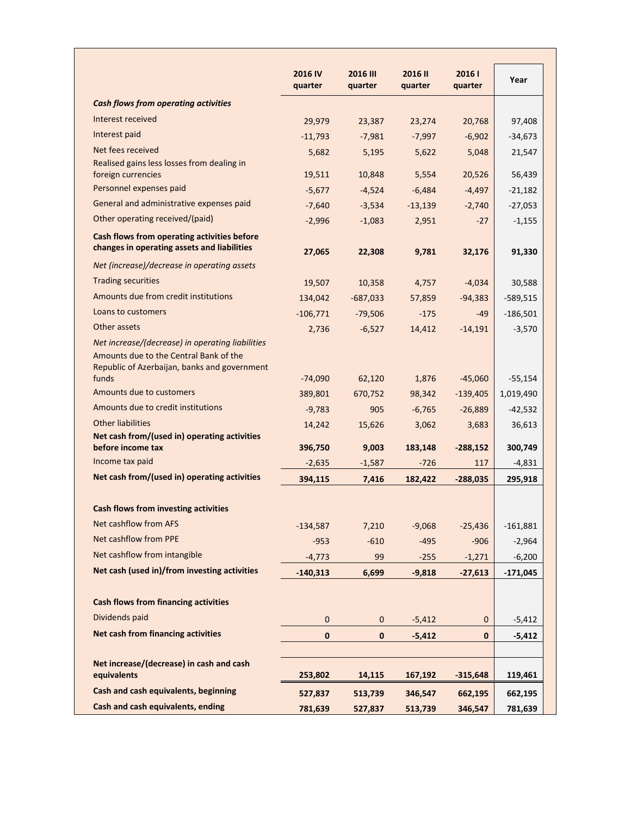|                                                                                            | 2016 IV<br>quarter | <b>2016 III</b><br>quarter | 2016 II<br>quarter | 20161<br>quarter | Year       |
|--------------------------------------------------------------------------------------------|--------------------|----------------------------|--------------------|------------------|------------|
| <b>Cash flows from operating activities</b>                                                |                    |                            |                    |                  |            |
| Interest received                                                                          | 29,979             | 23,387                     | 23,274             | 20,768           | 97,408     |
| Interest paid                                                                              | $-11,793$          | $-7,981$                   | $-7,997$           | $-6,902$         | $-34,673$  |
| Net fees received                                                                          | 5,682              | 5,195                      | 5,622              | 5,048            | 21,547     |
| Realised gains less losses from dealing in                                                 |                    |                            |                    |                  |            |
| foreign currencies<br>Personnel expenses paid                                              | 19,511             | 10,848                     | 5,554              | 20,526           | 56,439     |
| General and administrative expenses paid                                                   | $-5,677$           | $-4,524$                   | $-6,484$           | $-4,497$         | $-21,182$  |
|                                                                                            | $-7,640$           | $-3,534$                   | $-13,139$          | $-2,740$         | $-27,053$  |
| Other operating received/(paid)                                                            | $-2,996$           | $-1,083$                   | 2,951              | $-27$            | $-1,155$   |
| Cash flows from operating activities before<br>changes in operating assets and liabilities | 27,065             | 22,308                     | 9,781              | 32,176           | 91,330     |
| Net (increase)/decrease in operating assets                                                |                    |                            |                    |                  |            |
| <b>Trading securities</b>                                                                  | 19,507             | 10,358                     | 4,757              | $-4,034$         | 30,588     |
| Amounts due from credit institutions                                                       | 134,042            | $-687,033$                 | 57,859             | $-94,383$        | $-589,515$ |
| Loans to customers                                                                         | $-106,771$         | $-79,506$                  | $-175$             | $-49$            | $-186,501$ |
| Other assets                                                                               | 2,736              | $-6,527$                   | 14,412             | $-14,191$        | $-3,570$   |
| Net increase/(decrease) in operating liabilities                                           |                    |                            |                    |                  |            |
| Amounts due to the Central Bank of the                                                     |                    |                            |                    |                  |            |
| Republic of Azerbaijan, banks and government<br>funds                                      | $-74,090$          | 62,120                     | 1,876              | $-45,060$        | $-55,154$  |
| Amounts due to customers                                                                   | 389,801            | 670,752                    | 98,342             | $-139,405$       | 1,019,490  |
| Amounts due to credit institutions                                                         | $-9,783$           | 905                        | $-6,765$           | $-26,889$        | $-42,532$  |
| <b>Other liabilities</b>                                                                   | 14,242             | 15,626                     | 3,062              | 3,683            | 36,613     |
| Net cash from/(used in) operating activities                                               |                    |                            |                    |                  |            |
| before income tax                                                                          | 396,750            | 9,003                      | 183,148            | $-288,152$       | 300,749    |
| Income tax paid                                                                            | $-2,635$           | $-1,587$                   | $-726$             | 117              | $-4,831$   |
| Net cash from/(used in) operating activities                                               | 394,115            | 7,416                      | 182,422            | $-288,035$       | 295,918    |
|                                                                                            |                    |                            |                    |                  |            |
| <b>Cash flows from investing activities</b>                                                |                    |                            |                    |                  |            |
| Net cashflow from AFS                                                                      | $-134,587$         | 7,210                      | $-9,068$           | $-25,436$        | $-161,881$ |
| Net cashflow from PPE                                                                      | $-953$             | $-610$                     | $-495$             | $-906$           | $-2,964$   |
| Net cashflow from intangible                                                               | $-4,773$           | 99                         | $-255$             | $-1,271$         | $-6,200$   |
| Net cash (used in)/from investing activities                                               | $-140,313$         | 6,699                      | $-9,818$           | $-27,613$        | $-171,045$ |
|                                                                                            |                    |                            |                    |                  |            |
| <b>Cash flows from financing activities</b>                                                |                    |                            |                    |                  |            |
| Dividends paid                                                                             | $\mathbf{0}$       | $\mathbf{0}$               | $-5,412$           | $\pmb{0}$        | $-5,412$   |
| <b>Net cash from financing activities</b>                                                  | $\mathbf 0$        | $\mathbf 0$                | $-5,412$           | $\mathbf 0$      | $-5,412$   |
|                                                                                            |                    |                            |                    |                  |            |
| Net increase/(decrease) in cash and cash<br>equivalents                                    | 253,802            | 14,115                     | 167,192            | $-315,648$       | 119,461    |
| Cash and cash equivalents, beginning                                                       | 527,837            | 513,739                    | 346,547            | 662,195          | 662,195    |
| Cash and cash equivalents, ending                                                          | 781,639            | 527,837                    | 513,739            | 346,547          | 781,639    |